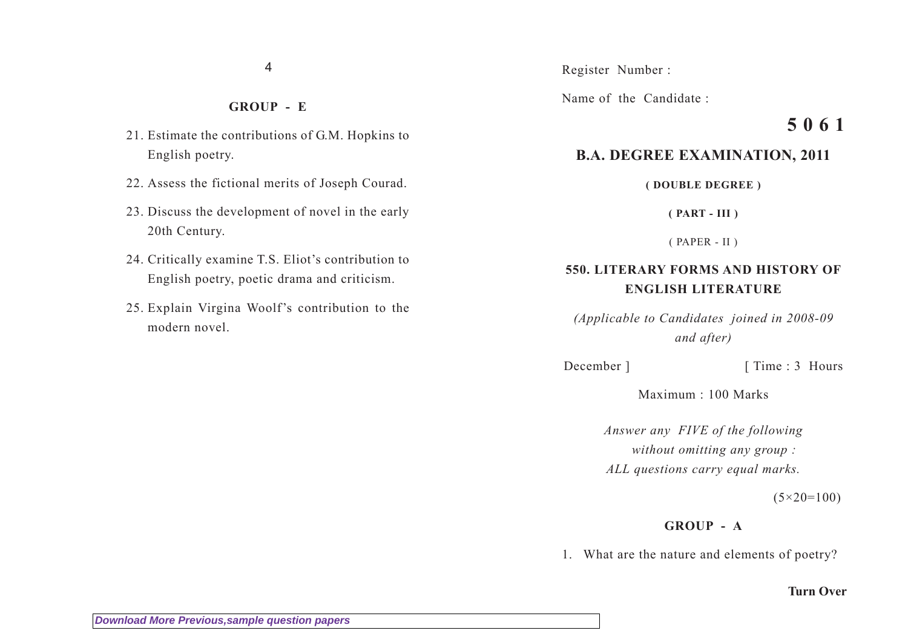4

## **GROUP - E**

- 21. Estimate the contributions of G.M. Hopkins to English poetry.
- 22. Assess the fictional merits of Joseph Courad.
- 23. Discuss the development of novel in the early 20th Century.
- 24. Critically examine T.S. Eliot's contribution to English poetry, poetic drama and criticism.
- 25. Explain Virgina Woolf's contribution to the modern novel.

Register Number :

Name of the Candidate :

# **5 0 6 1**

# **B.A. DEGREE EXAMINATION, 2011**

**( DOUBLE DEGREE )**

**( PART - III )**

( PAPER - II )

# **550. LITERARY FORMS AND HISTORY OF ENGLISH LITERATURE**

*(Applicable to Candidates joined in 2008-09 and after)*

December ] [ Time : 3 Hours

Maximum : 100 Marks

*Answer any FIVE of the following without omitting any group : ALL questions carry equal marks.*

 $(5 \times 20 = 100)$ 

# **GROUP - A**

1. What are the nature and elements of poetry?

#### **Turn Over**